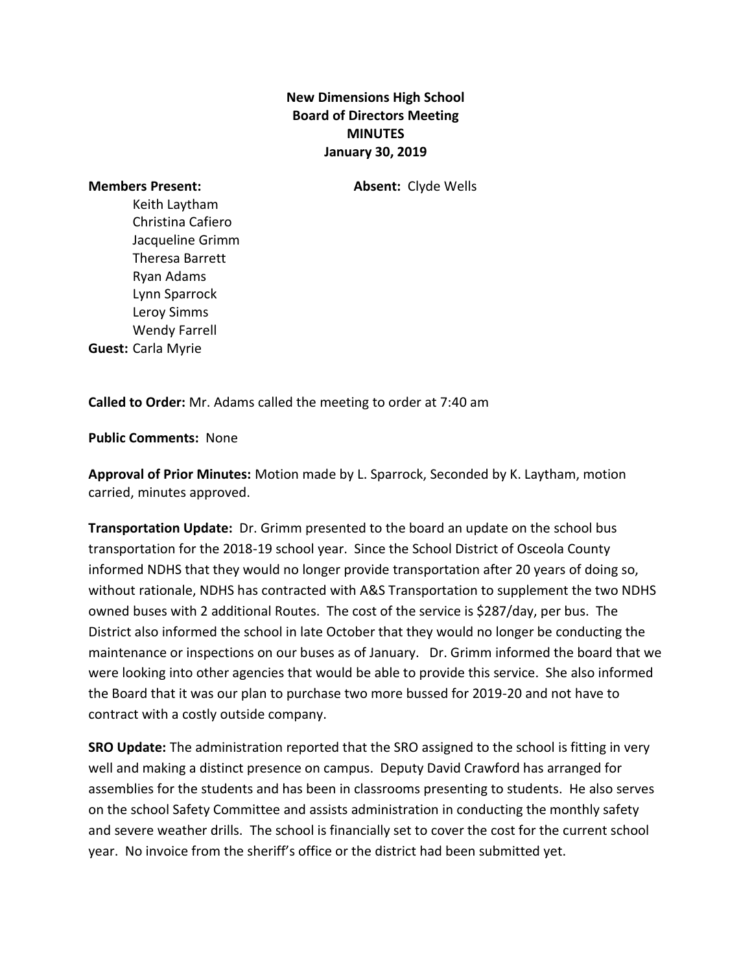## **New Dimensions High School Board of Directors Meeting MINUTES January 30, 2019**

**Members Present: Absent:** Clyde Wells

Keith Laytham Christina Cafiero Jacqueline Grimm Theresa Barrett Ryan Adams Lynn Sparrock Leroy Simms Wendy Farrell **Guest:** Carla Myrie

**Called to Order:** Mr. Adams called the meeting to order at 7:40 am

**Public Comments:** None

**Approval of Prior Minutes:** Motion made by L. Sparrock, Seconded by K. Laytham, motion carried, minutes approved.

**Transportation Update:** Dr. Grimm presented to the board an update on the school bus transportation for the 2018-19 school year. Since the School District of Osceola County informed NDHS that they would no longer provide transportation after 20 years of doing so, without rationale, NDHS has contracted with A&S Transportation to supplement the two NDHS owned buses with 2 additional Routes. The cost of the service is \$287/day, per bus. The District also informed the school in late October that they would no longer be conducting the maintenance or inspections on our buses as of January. Dr. Grimm informed the board that we were looking into other agencies that would be able to provide this service. She also informed the Board that it was our plan to purchase two more bussed for 2019-20 and not have to contract with a costly outside company.

**SRO Update:** The administration reported that the SRO assigned to the school is fitting in very well and making a distinct presence on campus. Deputy David Crawford has arranged for assemblies for the students and has been in classrooms presenting to students. He also serves on the school Safety Committee and assists administration in conducting the monthly safety and severe weather drills. The school is financially set to cover the cost for the current school year. No invoice from the sheriff's office or the district had been submitted yet.